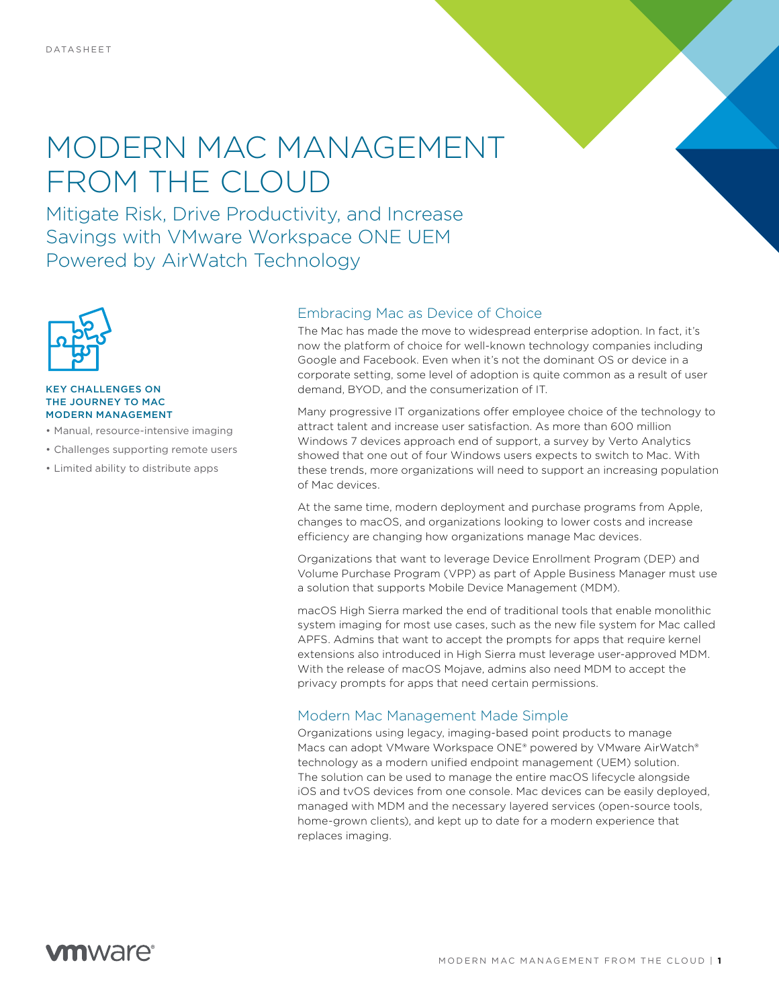# MODERN MAC MANAGEMENT FROM THE CLOUD

Mitigate Risk, Drive Productivity, and Increase Savings with VMware Workspace ONE UEM Powered by AirWatch Technology



#### KEY CHALLENGES ON THE JOURNEY TO MAC MODERN MANAGEMENT

- Manual, resource-intensive imaging
- Challenges supporting remote users
- Limited ability to distribute apps

#### Embracing Mac as Device of Choice

The Mac has made the move to widespread enterprise adoption. In fact, it's now the platform of choice for well-known technology companies including Google and Facebook. Even when it's not the dominant OS or device in a corporate setting, some level of adoption is quite common as a result of user demand, BYOD, and the consumerization of IT.

Many progressive IT organizations offer employee choice of the technology to attract talent and increase user satisfaction. As more than 600 million Windows 7 devices approach end of support, a survey by Verto Analytics showed that one out of four Windows users expects to switch to Mac. With these trends, more organizations will need to support an increasing population of Mac devices.

At the same time, modern deployment and purchase programs from Apple, changes to macOS, and organizations looking to lower costs and increase efficiency are changing how organizations manage Mac devices.

Organizations that want to leverage Device Enrollment Program (DEP) and Volume Purchase Program (VPP) as part of Apple Business Manager must use a solution that supports Mobile Device Management (MDM).

macOS High Sierra marked the end of traditional tools that enable monolithic system imaging for most use cases, such as the new file system for Mac called APFS. Admins that want to accept the prompts for apps that require kernel extensions also introduced in High Sierra must leverage user-approved MDM. With the release of macOS Mojave, admins also need MDM to accept the privacy prompts for apps that need certain permissions.

### Modern Mac Management Made Simple

Organizations using legacy, imaging-based point products to manage Macs can adopt VMware Workspace ONE® powered by VMware AirWatch® technology as a modern unified endpoint management (UEM) solution. The solution can be used to manage the entire macOS lifecycle alongside iOS and tvOS devices from one console. Mac devices can be easily deployed, managed with MDM and the necessary layered services (open-source tools, home-grown clients), and kept up to date for a modern experience that replaces imaging.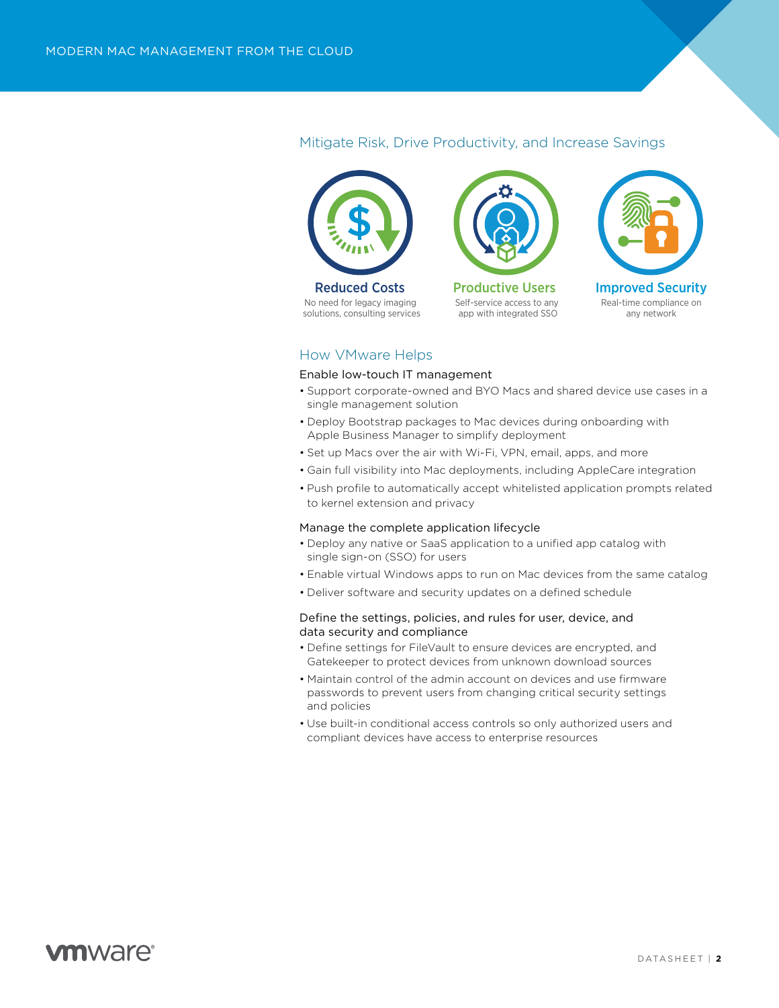# Mitigate Risk, Drive Productivity, and Increase Savings Mitigate Risk, Drive Productivity, and Increase Savings



No need for legacy imaging solutions, consulting services Reduced Costs



Self-service access to any app with integrated SSO Productive Users



### How VMware Helps

#### Enable low-touch IT management

- Support corporate-owned and BYO Macs and shared device use cases in a single management solution
- Deploy Bootstrap packages to Mac devices during onboarding with Apple Business Manager to simplify deployment
- Set up Macs over the air with Wi-Fi, VPN, email, apps, and more
- Gain full visibility into Mac deployments, including AppleCare integration
- Push profile to automatically accept whitelisted application prompts related to kernel extension and privacy

#### Manage the complete application lifecycle

- Deploy any native or SaaS application to a unified app catalog with single sign-on (SSO) for users
- Enable virtual Windows apps to run on Mac devices from the same catalog
- Deliver software and security updates on a defined schedule

#### Define the settings, policies, and rules for user, device, and data security and compliance

- Define settings for FileVault to ensure devices are encrypted, and Gatekeeper to protect devices from unknown download sources
- Maintain control of the admin account on devices and use firmware passwords to prevent users from changing critical security settings and policies
- Use built-in conditional access controls so only authorized users and compliant devices have access to enterprise resources

# *m*nware<sup>®</sup>